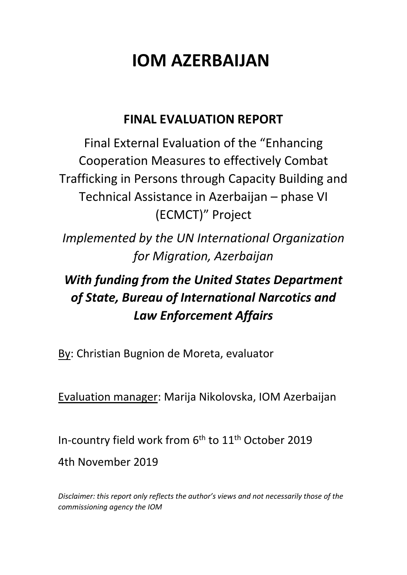# **IOM AZERBAIJAN**

# **FINAL EVALUATION REPORT**

Final External Evaluation of the "Enhancing Cooperation Measures to effectively Combat Trafficking in Persons through Capacity Building and Technical Assistance in Azerbaijan – phase VI (ECMCT)" Project

*Implemented by the UN International Organization for Migration, Azerbaijan*

# *With funding from the United States Department of State, Bureau of International Narcotics and Law Enforcement Affairs*

By: Christian Bugnion de Moreta, evaluator

Evaluation manager: Marija Nikolovska, IOM Azerbaijan

In-country field work from 6<sup>th</sup> to 11<sup>th</sup> October 2019 4th November 2019

*Disclaimer: this report only reflects the author's views and not necessarily those of the commissioning agency the IOM*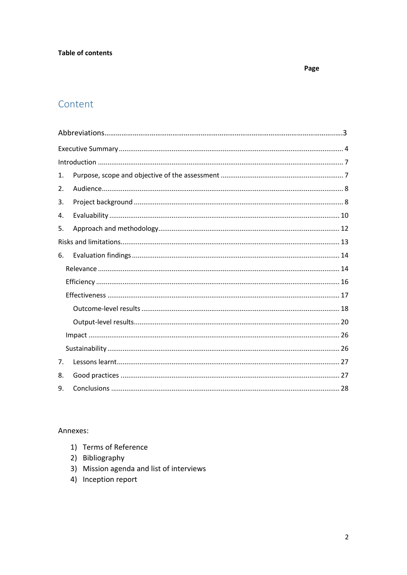#### **Table of contents**

#### Page

# Content

| 1.             |  |  |  |  |  |
|----------------|--|--|--|--|--|
| 2.             |  |  |  |  |  |
| 3.             |  |  |  |  |  |
| 4.             |  |  |  |  |  |
| 5.             |  |  |  |  |  |
|                |  |  |  |  |  |
| 6.             |  |  |  |  |  |
|                |  |  |  |  |  |
|                |  |  |  |  |  |
|                |  |  |  |  |  |
|                |  |  |  |  |  |
|                |  |  |  |  |  |
|                |  |  |  |  |  |
|                |  |  |  |  |  |
| 7 <sub>1</sub> |  |  |  |  |  |
| 8.             |  |  |  |  |  |
| 9.             |  |  |  |  |  |

#### Annexes:

- 1) Terms of Reference
- 2) Bibliography
- 3) Mission agenda and list of interviews
- 4) Inception report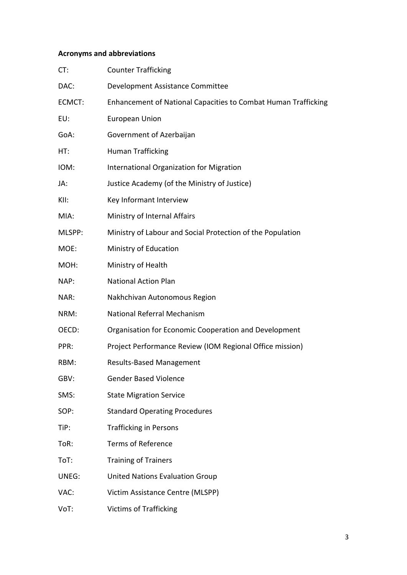### **Acronyms and abbreviations**

| CT:    | <b>Counter Trafficking</b>                                            |  |  |  |  |
|--------|-----------------------------------------------------------------------|--|--|--|--|
| DAC:   | Development Assistance Committee                                      |  |  |  |  |
| ECMCT: | <b>Enhancement of National Capacities to Combat Human Trafficking</b> |  |  |  |  |
| EU:    | <b>European Union</b>                                                 |  |  |  |  |
| GoA:   | Government of Azerbaijan                                              |  |  |  |  |
| HT:    | Human Trafficking                                                     |  |  |  |  |
| IOM:   | International Organization for Migration                              |  |  |  |  |
| JA:    | Justice Academy (of the Ministry of Justice)                          |  |  |  |  |
| KII:   | Key Informant Interview                                               |  |  |  |  |
| MIA:   | Ministry of Internal Affairs                                          |  |  |  |  |
| MLSPP: | Ministry of Labour and Social Protection of the Population            |  |  |  |  |
| MOE:   | Ministry of Education                                                 |  |  |  |  |
| MOH:   | Ministry of Health                                                    |  |  |  |  |
| NAP:   | <b>National Action Plan</b>                                           |  |  |  |  |
| NAR:   | Nakhchivan Autonomous Region                                          |  |  |  |  |
| NRM:   | National Referral Mechanism                                           |  |  |  |  |
| OECD:  | Organisation for Economic Cooperation and Development                 |  |  |  |  |
| PPR:   | Project Performance Review (IOM Regional Office mission)              |  |  |  |  |
| RBM:   | <b>Results-Based Management</b>                                       |  |  |  |  |
| GBV:   | <b>Gender Based Violence</b>                                          |  |  |  |  |
| SMS:   | <b>State Migration Service</b>                                        |  |  |  |  |
| SOP:   | <b>Standard Operating Procedures</b>                                  |  |  |  |  |
| TiP:   | <b>Trafficking in Persons</b>                                         |  |  |  |  |
| ToR:   | <b>Terms of Reference</b>                                             |  |  |  |  |
| ToT:   | <b>Training of Trainers</b>                                           |  |  |  |  |
| UNEG:  | <b>United Nations Evaluation Group</b>                                |  |  |  |  |
| VAC:   | Victim Assistance Centre (MLSPP)                                      |  |  |  |  |
|        |                                                                       |  |  |  |  |

VoT: Victims of Trafficking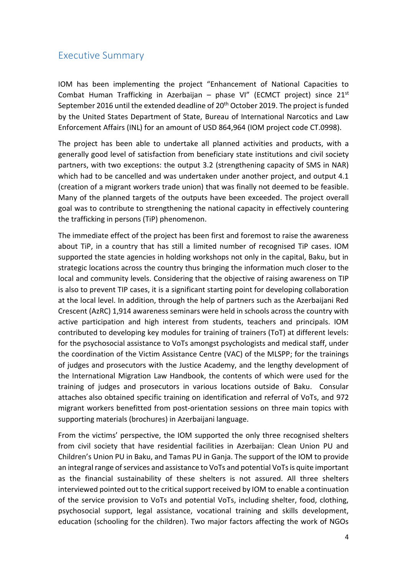## <span id="page-3-0"></span>Executive Summary

IOM has been implementing the project "Enhancement of National Capacities to Combat Human Trafficking in Azerbaijan - phase VI" (ECMCT project) since 21<sup>st</sup> September 2016 until the extended deadline of 20<sup>th</sup> October 2019. The project is funded by the United States Department of State, Bureau of International Narcotics and Law Enforcement Affairs (INL) for an amount of USD 864,964 (IOM project code CT.0998).

The project has been able to undertake all planned activities and products, with a generally good level of satisfaction from beneficiary state institutions and civil society partners, with two exceptions: the output 3.2 (strengthening capacity of SMS in NAR) which had to be cancelled and was undertaken under another project, and output 4.1 (creation of a migrant workers trade union) that was finally not deemed to be feasible. Many of the planned targets of the outputs have been exceeded. The project overall goal was to contribute to strengthening the national capacity in effectively countering the trafficking in persons (TiP) phenomenon.

The immediate effect of the project has been first and foremost to raise the awareness about TiP, in a country that has still a limited number of recognised TiP cases. IOM supported the state agencies in holding workshops not only in the capital, Baku, but in strategic locations across the country thus bringing the information much closer to the local and community levels. Considering that the objective of raising awareness on TIP is also to prevent TIP cases, it is a significant starting point for developing collaboration at the local level. In addition, through the help of partners such as the Azerbaijani Red Crescent (AzRC) 1,914 awareness seminars were held in schools across the country with active participation and high interest from students, teachers and principals. IOM contributed to developing key modules for training of trainers (ToT) at different levels: for the psychosocial assistance to VoTs amongst psychologists and medical staff, under the coordination of the Victim Assistance Centre (VAC) of the MLSPP; for the trainings of judges and prosecutors with the Justice Academy, and the lengthy development of the International Migration Law Handbook, the contents of which were used for the training of judges and prosecutors in various locations outside of Baku. Consular attaches also obtained specific training on identification and referral of VoTs, and 972 migrant workers benefitted from post-orientation sessions on three main topics with supporting materials (brochures) in Azerbaijani language.

From the victims' perspective, the IOM supported the only three recognised shelters from civil society that have residential facilities in Azerbaijan: Clean Union PU and Children's Union PU in Baku, and Tamas PU in Ganja. The support of the IOM to provide an integral range of services and assistance to VoTs and potential VoTs is quite important as the financial sustainability of these shelters is not assured. All three shelters interviewed pointed out to the critical support received by IOM to enable a continuation of the service provision to VoTs and potential VoTs, including shelter, food, clothing, psychosocial support, legal assistance, vocational training and skills development, education (schooling for the children). Two major factors affecting the work of NGOs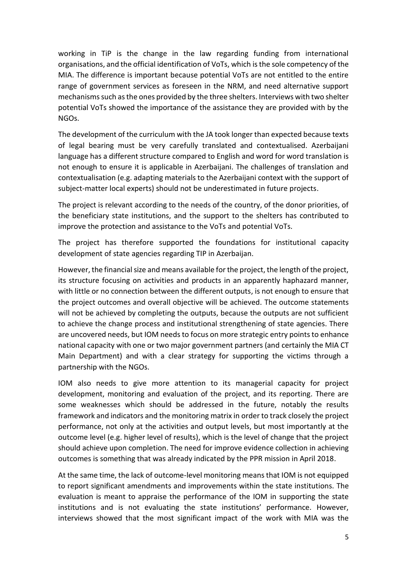working in TiP is the change in the law regarding funding from international organisations, and the official identification of VoTs, which is the sole competency of the MIA. The difference is important because potential VoTs are not entitled to the entire range of government services as foreseen in the NRM, and need alternative support mechanisms such as the ones provided by the three shelters. Interviews with two shelter potential VoTs showed the importance of the assistance they are provided with by the NGOs.

The development of the curriculum with the JA took longer than expected because texts of legal bearing must be very carefully translated and contextualised. Azerbaijani language has a different structure compared to English and word for word translation is not enough to ensure it is applicable in Azerbaijani. The challenges of translation and contextualisation (e.g. adapting materials to the Azerbaijani context with the support of subject-matter local experts) should not be underestimated in future projects.

The project is relevant according to the needs of the country, of the donor priorities, of the beneficiary state institutions, and the support to the shelters has contributed to improve the protection and assistance to the VoTs and potential VoTs.

The project has therefore supported the foundations for institutional capacity development of state agencies regarding TIP in Azerbaijan.

However, the financial size and means available for the project, the length of the project, its structure focusing on activities and products in an apparently haphazard manner, with little or no connection between the different outputs, is not enough to ensure that the project outcomes and overall objective will be achieved. The outcome statements will not be achieved by completing the outputs, because the outputs are not sufficient to achieve the change process and institutional strengthening of state agencies. There are uncovered needs, but IOM needs to focus on more strategic entry points to enhance national capacity with one or two major government partners (and certainly the MIA CT Main Department) and with a clear strategy for supporting the victims through a partnership with the NGOs.

IOM also needs to give more attention to its managerial capacity for project development, monitoring and evaluation of the project, and its reporting. There are some weaknesses which should be addressed in the future, notably the results framework and indicators and the monitoring matrix in order to track closely the project performance, not only at the activities and output levels, but most importantly at the outcome level (e.g. higher level of results), which is the level of change that the project should achieve upon completion. The need for improve evidence collection in achieving outcomes is something that was already indicated by the PPR mission in April 2018.

At the same time, the lack of outcome-level monitoring means that IOM is not equipped to report significant amendments and improvements within the state institutions. The evaluation is meant to appraise the performance of the IOM in supporting the state institutions and is not evaluating the state institutions' performance. However, interviews showed that the most significant impact of the work with MIA was the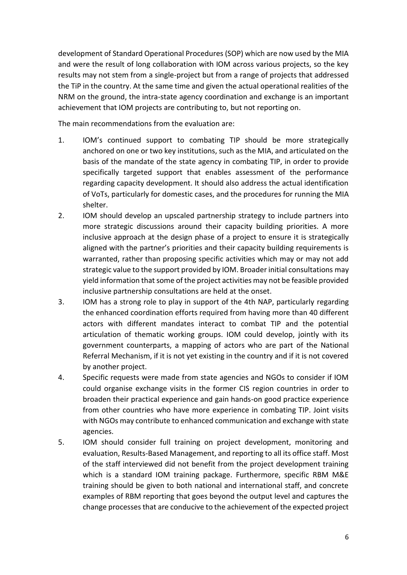development of Standard Operational Procedures (SOP) which are now used by the MIA and were the result of long collaboration with IOM across various projects, so the key results may not stem from a single-project but from a range of projects that addressed the TiP in the country. At the same time and given the actual operational realities of the NRM on the ground, the intra-state agency coordination and exchange is an important achievement that IOM projects are contributing to, but not reporting on.

The main recommendations from the evaluation are:

- 1. IOM's continued support to combating TIP should be more strategically anchored on one or two key institutions, such as the MIA, and articulated on the basis of the mandate of the state agency in combating TIP, in order to provide specifically targeted support that enables assessment of the performance regarding capacity development. It should also address the actual identification of VoTs, particularly for domestic cases, and the procedures for running the MIA shelter.
- 2. IOM should develop an upscaled partnership strategy to include partners into more strategic discussions around their capacity building priorities. A more inclusive approach at the design phase of a project to ensure it is strategically aligned with the partner's priorities and their capacity building requirements is warranted, rather than proposing specific activities which may or may not add strategic value to the support provided by IOM. Broader initial consultations may yield information that some of the project activities may not be feasible provided inclusive partnership consultations are held at the onset.
- 3. IOM has a strong role to play in support of the 4th NAP, particularly regarding the enhanced coordination efforts required from having more than 40 different actors with different mandates interact to combat TIP and the potential articulation of thematic working groups. IOM could develop, jointly with its government counterparts, a mapping of actors who are part of the National Referral Mechanism, if it is not yet existing in the country and if it is not covered by another project.
- 4. Specific requests were made from state agencies and NGOs to consider if IOM could organise exchange visits in the former CIS region countries in order to broaden their practical experience and gain hands-on good practice experience from other countries who have more experience in combating TIP. Joint visits with NGOs may contribute to enhanced communication and exchange with state agencies.
- 5. IOM should consider full training on project development, monitoring and evaluation, Results-Based Management, and reporting to all its office staff. Most of the staff interviewed did not benefit from the project development training which is a standard IOM training package. Furthermore, specific RBM M&E training should be given to both national and international staff, and concrete examples of RBM reporting that goes beyond the output level and captures the change processes that are conducive to the achievement of the expected project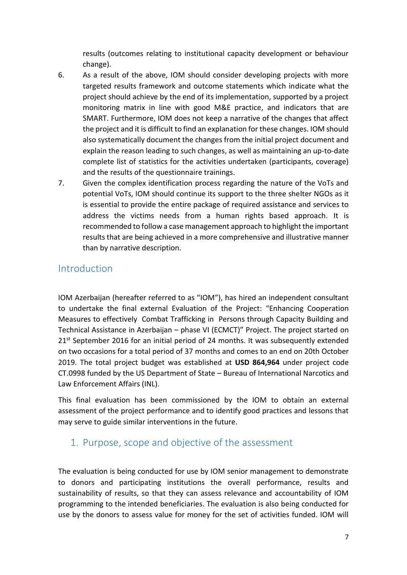results (outcomes relating to institutional capacity development or behaviour change).

- 6. As a result of the above, IOM should consider developing projects with more targeted results framework and outcome statements which indicate what the project should achieve by the end of its implementation, supported by a project monitoring matrix in line with good M&E practice, and indicators that are SMART. Furthermore, IOM does not keep a narrative of the changes that affect the project and it is difficult to find an explanation for these changes. IOM should also systematically document the changes from the initial project document and explain the reason leading to such changes, as well as maintaining an up-to-date complete list of statistics for the activities undertaken (participants, coverage) and the results of the questionnaire trainings.
- 7. Given the complex identification process regarding the nature of the VoTs and potential VoTs, IOM should continue its support to the three shelter NGOs as it is essential to provide the entire package of required assistance and services to address the victims needs from a human rights based approach. It is recommended to follow a case management approach to highlight the important results that are being achieved in a more comprehensive and illustrative manner than by narrative description.

## <span id="page-6-0"></span>Introduction

IOM Azerbaijan (hereafter referred to as "IOM"), has hired an independent consultant to undertake the final external Evaluation of the Project: "Enhancing Cooperation Measures to effectively Combat Trafficking in Persons through Capacity Building and Technical Assistance in Azerbaijan – phase VI (ECMCT)" Project. The project started on 21<sup>st</sup> September 2016 for an initial period of 24 months. It was subsequently extended on two occasions for a total period of 37 months and comes to an end on 20th October 2019. The total project budget was established at **USD 864,964** under project code CT.0998 funded by the US Department of State – Bureau of International Narcotics and Law Enforcement Affairs (INL).

This final evaluation has been commissioned by the IOM to obtain an external assessment of the project performance and to identify good practices and lessons that may serve to guide similar interventions in the future.

# <span id="page-6-1"></span>1. Purpose, scope and objective of the assessment

The evaluation is being conducted for use by IOM senior management to demonstrate to donors and participating institutions the overall performance, results and sustainability of results, so that they can assess relevance and accountability of IOM programming to the intended beneficiaries. The evaluation is also being conducted for use by the donors to assess value for money for the set of activities funded. IOM will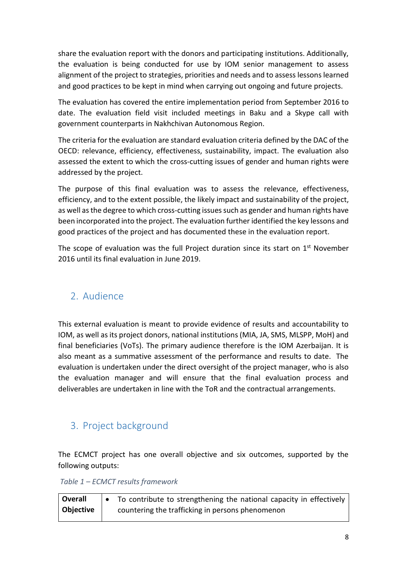share the evaluation report with the donors and participating institutions. Additionally, the evaluation is being conducted for use by IOM senior management to assess alignment of the project to strategies, priorities and needs and to assess lessons learned and good practices to be kept in mind when carrying out ongoing and future projects.

The evaluation has covered the entire implementation period from September 2016 to date. The evaluation field visit included meetings in Baku and a Skype call with government counterparts in Nakhchivan Autonomous Region.

The criteria for the evaluation are standard evaluation criteria defined by the DAC of the OECD: relevance, efficiency, effectiveness, sustainability, impact. The evaluation also assessed the extent to which the cross-cutting issues of gender and human rights were addressed by the project.

The purpose of this final evaluation was to assess the relevance, effectiveness, efficiency, and to the extent possible, the likely impact and sustainability of the project, as well as the degree to which cross-cutting issues such as gender and human rights have been incorporated into the project. The evaluation further identified the key lessons and good practices of the project and has documented these in the evaluation report.

The scope of evaluation was the full Project duration since its start on 1<sup>st</sup> November 2016 until its final evaluation in June 2019.

# <span id="page-7-0"></span>2. Audience

This external evaluation is meant to provide evidence of results and accountability to IOM, as well as its project donors, national institutions (MIA, JA, SMS, MLSPP, MoH) and final beneficiaries (VoTs). The primary audience therefore is the IOM Azerbaijan. It is also meant as a summative assessment of the performance and results to date. The evaluation is undertaken under the direct oversight of the project manager, who is also the evaluation manager and will ensure that the final evaluation process and deliverables are undertaken in line with the ToR and the contractual arrangements.

# <span id="page-7-1"></span>3. Project background

The ECMCT project has one overall objective and six outcomes, supported by the following outputs:

*Table 1 – ECMCT results framework*

| Overall   | To contribute to strengthening the national capacity in effectively |
|-----------|---------------------------------------------------------------------|
| Objective | countering the trafficking in persons phenomenon                    |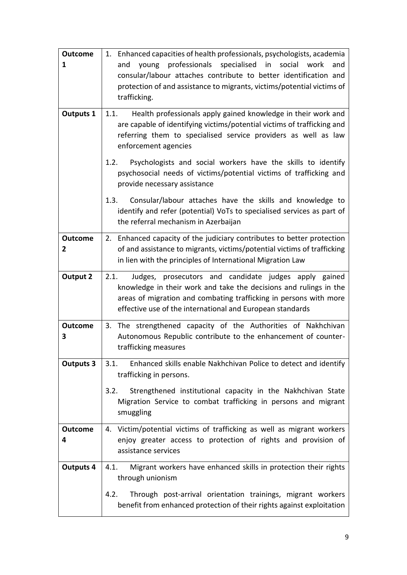| <b>Outcome</b>                                                                                                                         | 1. Enhanced capacities of health professionals, psychologists, academia                                                                          |  |  |  |  |  |
|----------------------------------------------------------------------------------------------------------------------------------------|--------------------------------------------------------------------------------------------------------------------------------------------------|--|--|--|--|--|
| 1                                                                                                                                      | professionals<br>specialised in<br>social<br>and<br>young<br>work<br>and                                                                         |  |  |  |  |  |
|                                                                                                                                        | consular/labour attaches contribute to better identification and                                                                                 |  |  |  |  |  |
|                                                                                                                                        | protection of and assistance to migrants, victims/potential victims of<br>trafficking.                                                           |  |  |  |  |  |
|                                                                                                                                        |                                                                                                                                                  |  |  |  |  |  |
| <b>Outputs 1</b>                                                                                                                       | Health professionals apply gained knowledge in their work and<br>1.1.<br>are capable of identifying victims/potential victims of trafficking and |  |  |  |  |  |
|                                                                                                                                        | referring them to specialised service providers as well as law                                                                                   |  |  |  |  |  |
|                                                                                                                                        | enforcement agencies                                                                                                                             |  |  |  |  |  |
|                                                                                                                                        | Psychologists and social workers have the skills to identify<br>1.2.                                                                             |  |  |  |  |  |
| psychosocial needs of victims/potential victims of trafficking and<br>provide necessary assistance                                     |                                                                                                                                                  |  |  |  |  |  |
|                                                                                                                                        | Consular/labour attaches have the skills and knowledge to<br>1.3.                                                                                |  |  |  |  |  |
|                                                                                                                                        | identify and refer (potential) VoTs to specialised services as part of                                                                           |  |  |  |  |  |
|                                                                                                                                        | the referral mechanism in Azerbaijan                                                                                                             |  |  |  |  |  |
| <b>Outcome</b>                                                                                                                         | 2. Enhanced capacity of the judiciary contributes to better protection                                                                           |  |  |  |  |  |
| 2                                                                                                                                      | of and assistance to migrants, victims/potential victims of trafficking                                                                          |  |  |  |  |  |
|                                                                                                                                        | in lien with the principles of International Migration Law                                                                                       |  |  |  |  |  |
| <b>Output 2</b>                                                                                                                        | 2.1.<br>Judges, prosecutors and candidate judges apply gained                                                                                    |  |  |  |  |  |
| knowledge in their work and take the decisions and rulings in the<br>areas of migration and combating trafficking in persons with more |                                                                                                                                                  |  |  |  |  |  |
|                                                                                                                                        | effective use of the international and European standards                                                                                        |  |  |  |  |  |
| <b>Outcome</b>                                                                                                                         | 3. The strengthened capacity of the Authorities of Nakhchivan                                                                                    |  |  |  |  |  |
| 3                                                                                                                                      | Autonomous Republic contribute to the enhancement of counter-                                                                                    |  |  |  |  |  |
|                                                                                                                                        | trafficking measures                                                                                                                             |  |  |  |  |  |
| <b>Outputs 3</b>                                                                                                                       | 3.1.<br>Enhanced skills enable Nakhchivan Police to detect and identify                                                                          |  |  |  |  |  |
|                                                                                                                                        | trafficking in persons.                                                                                                                          |  |  |  |  |  |
|                                                                                                                                        | 3.2.<br>Strengthened institutional capacity in the Nakhchivan State                                                                              |  |  |  |  |  |
|                                                                                                                                        | Migration Service to combat trafficking in persons and migrant                                                                                   |  |  |  |  |  |
|                                                                                                                                        | smuggling                                                                                                                                        |  |  |  |  |  |
| <b>Outcome</b>                                                                                                                         | 4. Victim/potential victims of trafficking as well as migrant workers                                                                            |  |  |  |  |  |
| 4                                                                                                                                      | enjoy greater access to protection of rights and provision of                                                                                    |  |  |  |  |  |
| assistance services                                                                                                                    |                                                                                                                                                  |  |  |  |  |  |
| Migrant workers have enhanced skills in protection their rights<br><b>Outputs 4</b><br>4.1.<br>through unionism                        |                                                                                                                                                  |  |  |  |  |  |
| Through post-arrival orientation trainings, migrant workers<br>4.2.                                                                    |                                                                                                                                                  |  |  |  |  |  |
|                                                                                                                                        | benefit from enhanced protection of their rights against exploitation                                                                            |  |  |  |  |  |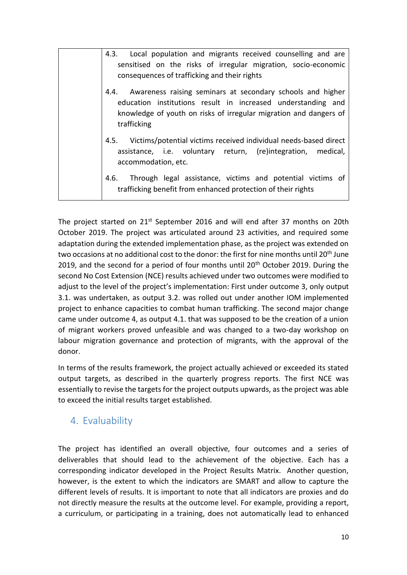| 4.3. Local population and migrants received counselling and are<br>sensitised on the risks of irregular migration, socio-economic<br>consequences of trafficking and their rights                                   |
|---------------------------------------------------------------------------------------------------------------------------------------------------------------------------------------------------------------------|
| 4.4. Awareness raising seminars at secondary schools and higher<br>education institutions result in increased understanding and<br>knowledge of youth on risks of irregular migration and dangers of<br>trafficking |
| 4.5. Victims/potential victims received individual needs-based direct<br>assistance, i.e. voluntary return, (re)integration, medical,<br>accommodation, etc.                                                        |
| 4.6. Through legal assistance, victims and potential victims of<br>trafficking benefit from enhanced protection of their rights                                                                                     |

The project started on 21<sup>st</sup> September 2016 and will end after 37 months on 20th October 2019. The project was articulated around 23 activities, and required some adaptation during the extended implementation phase, as the project was extended on two occasions at no additional cost to the donor: the first for nine months until 20<sup>th</sup> June 2019, and the second for a period of four months until  $20<sup>th</sup>$  October 2019. During the second No Cost Extension (NCE) results achieved under two outcomes were modified to adjust to the level of the project's implementation: First under outcome 3, only output 3.1. was undertaken, as output 3.2. was rolled out under another IOM implemented project to enhance capacities to combat human trafficking. The second major change came under outcome 4, as output 4.1. that was supposed to be the creation of a union of migrant workers proved unfeasible and was changed to a two-day workshop on labour migration governance and protection of migrants, with the approval of the donor.

In terms of the results framework, the project actually achieved or exceeded its stated output targets, as described in the quarterly progress reports. The first NCE was essentially to revise the targets for the project outputs upwards, as the project was able to exceed the initial results target established.

# <span id="page-9-0"></span>4. Evaluability

The project has identified an overall objective, four outcomes and a series of deliverables that should lead to the achievement of the objective. Each has a corresponding indicator developed in the Project Results Matrix. Another question, however, is the extent to which the indicators are SMART and allow to capture the different levels of results. It is important to note that all indicators are proxies and do not directly measure the results at the outcome level. For example, providing a report, a curriculum, or participating in a training, does not automatically lead to enhanced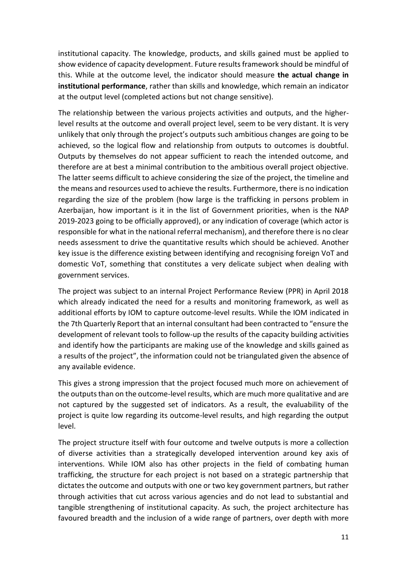institutional capacity. The knowledge, products, and skills gained must be applied to show evidence of capacity development. Future results framework should be mindful of this. While at the outcome level, the indicator should measure **the actual change in institutional performance**, rather than skills and knowledge, which remain an indicator at the output level (completed actions but not change sensitive).

The relationship between the various projects activities and outputs, and the higherlevel results at the outcome and overall project level, seem to be very distant. It is very unlikely that only through the project's outputs such ambitious changes are going to be achieved, so the logical flow and relationship from outputs to outcomes is doubtful. Outputs by themselves do not appear sufficient to reach the intended outcome, and therefore are at best a minimal contribution to the ambitious overall project objective. The latter seems difficult to achieve considering the size of the project, the timeline and the means and resources used to achieve the results. Furthermore, there is no indication regarding the size of the problem (how large is the trafficking in persons problem in Azerbaijan, how important is it in the list of Government priorities, when is the NAP 2019-2023 going to be officially approved), or any indication of coverage (which actor is responsible for what in the national referral mechanism), and therefore there is no clear needs assessment to drive the quantitative results which should be achieved. Another key issue is the difference existing between identifying and recognising foreign VoT and domestic VoT, something that constitutes a very delicate subject when dealing with government services.

The project was subject to an internal Project Performance Review (PPR) in April 2018 which already indicated the need for a results and monitoring framework, as well as additional efforts by IOM to capture outcome-level results. While the IOM indicated in the 7th Quarterly Report that an internal consultant had been contracted to "ensure the development of relevant tools to follow-up the results of the capacity building activities and identify how the participants are making use of the knowledge and skills gained as a results of the project", the information could not be triangulated given the absence of any available evidence.

This gives a strong impression that the project focused much more on achievement of the outputs than on the outcome-level results, which are much more qualitative and are not captured by the suggested set of indicators. As a result, the evaluability of the project is quite low regarding its outcome-level results, and high regarding the output level.

The project structure itself with four outcome and twelve outputs is more a collection of diverse activities than a strategically developed intervention around key axis of interventions. While IOM also has other projects in the field of combating human trafficking, the structure for each project is not based on a strategic partnership that dictates the outcome and outputs with one or two key government partners, but rather through activities that cut across various agencies and do not lead to substantial and tangible strengthening of institutional capacity. As such, the project architecture has favoured breadth and the inclusion of a wide range of partners, over depth with more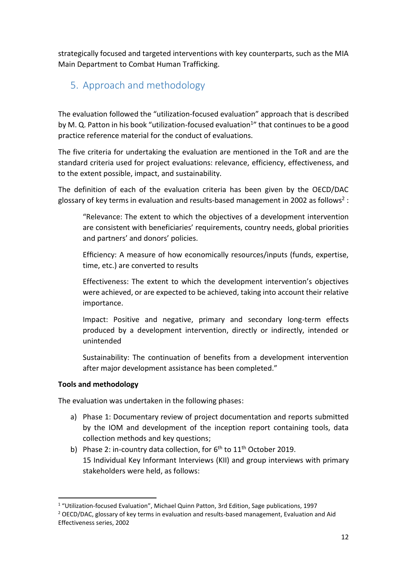strategically focused and targeted interventions with key counterparts, such as the MIA Main Department to Combat Human Trafficking.

# <span id="page-11-0"></span>5. Approach and methodology

The evaluation followed the "utilization-focused evaluation" approach that is described by M. Q. Patton in his book "utilization-focused evaluation<sup>1</sup>" that continues to be a good practice reference material for the conduct of evaluations.

The five criteria for undertaking the evaluation are mentioned in the ToR and are the standard criteria used for project evaluations: relevance, efficiency, effectiveness, and to the extent possible, impact, and sustainability.

The definition of each of the evaluation criteria has been given by the OECD/DAC glossary of key terms in evaluation and results-based management in 2002 as follows<sup>2</sup>:

"Relevance: The extent to which the objectives of a development intervention are consistent with beneficiaries' requirements, country needs, global priorities and partners' and donors' policies.

Efficiency: A measure of how economically resources/inputs (funds, expertise, time, etc.) are converted to results

Effectiveness: The extent to which the development intervention's objectives were achieved, or are expected to be achieved, taking into account their relative importance.

Impact: Positive and negative, primary and secondary long-term effects produced by a development intervention, directly or indirectly, intended or unintended

Sustainability: The continuation of benefits from a development intervention after major development assistance has been completed."

#### **Tools and methodology**

The evaluation was undertaken in the following phases:

- a) Phase 1: Documentary review of project documentation and reports submitted by the IOM and development of the inception report containing tools, data collection methods and key questions;
- b) Phase 2: in-country data collection, for  $6<sup>th</sup>$  to  $11<sup>th</sup>$  October 2019. 15 Individual Key Informant Interviews (KII) and group interviews with primary stakeholders were held, as follows:

<sup>&</sup>lt;sup>1</sup> "Utilization-focused Evaluation", Michael Quinn Patton, 3rd Edition, Sage publications, 1997 <sup>2</sup> OECD/DAC, glossary of key terms in evaluation and results-based management, Evaluation and Aid Effectiveness series, 2002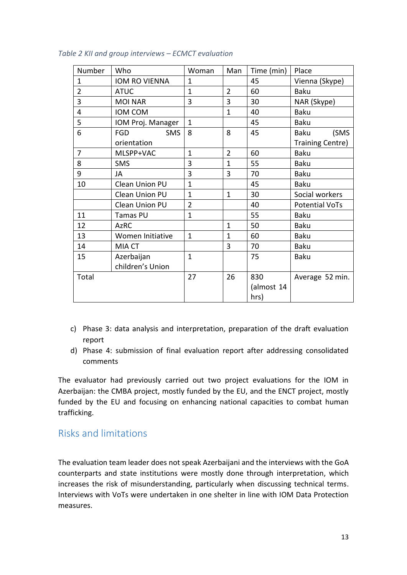| Number         | Who                      | Woman          | Man            | Time (min) | Place                 |
|----------------|--------------------------|----------------|----------------|------------|-----------------------|
| $\mathbf{1}$   | IOM RO VIENNA            | $\mathbf{1}$   |                | 45         | Vienna (Skype)        |
| $\overline{2}$ | <b>ATUC</b>              | $\mathbf{1}$   | $\overline{2}$ | 60         | <b>Baku</b>           |
| 3              | <b>MOI NAR</b>           | 3              | 3              | 30         | NAR (Skype)           |
| 4              | IOM COM                  |                | $\mathbf{1}$   | 40         | <b>Baku</b>           |
| 5              | IOM Proj. Manager        | $\mathbf{1}$   |                | 45         | <b>Baku</b>           |
| 6              | <b>SMS</b><br><b>FGD</b> | 8              | 8              | 45         | (SMS<br>Baku          |
|                | orientation              |                |                |            | Training Centre)      |
| $\overline{7}$ | MLSPP+VAC                | $\mathbf{1}$   | $\overline{2}$ | 60         | <b>Baku</b>           |
| 8              | <b>SMS</b>               | 3              | $\mathbf{1}$   | 55         | Baku                  |
| 9              | JA                       | 3              | 3              | 70         | <b>Baku</b>           |
| 10             | Clean Union PU           | $\mathbf{1}$   |                | 45         | Baku                  |
|                | <b>Clean Union PU</b>    | $\mathbf{1}$   | $\mathbf{1}$   | 30         | Social workers        |
|                | Clean Union PU           | $\overline{2}$ |                | 40         | <b>Potential VoTs</b> |
| 11             | Tamas PU                 | $\mathbf{1}$   |                | 55         | <b>Baku</b>           |
| 12             | <b>AzRC</b>              |                | $\mathbf{1}$   | 50         | <b>Baku</b>           |
| 13             | Women Initiative         | $\mathbf{1}$   | $\mathbf{1}$   | 60         | Baku                  |
| 14             | MIA CT                   |                | 3              | 70         | Baku                  |
| 15             | Azerbaijan               | $\mathbf{1}$   |                | 75         | Baku                  |
|                | children's Union         |                |                |            |                       |
| Total          |                          | 27             | 26             | 830        | Average 52 min.       |
|                |                          |                |                | (almost 14 |                       |
|                |                          |                |                | hrs)       |                       |

#### *Table 2 KII and group interviews – ECMCT evaluation*

- c) Phase 3: data analysis and interpretation, preparation of the draft evaluation report
- d) Phase 4: submission of final evaluation report after addressing consolidated comments

<span id="page-12-0"></span>The evaluator had previously carried out two project evaluations for the IOM in Azerbaijan: the CMBA project, mostly funded by the EU, and the ENCT project, mostly funded by the EU and focusing on enhancing national capacities to combat human trafficking.

## Risks and limitations

The evaluation team leader does not speak Azerbaijani and the interviews with the GoA counterparts and state institutions were mostly done through interpretation, which increases the risk of misunderstanding, particularly when discussing technical terms. Interviews with VoTs were undertaken in one shelter in line with IOM Data Protection measures.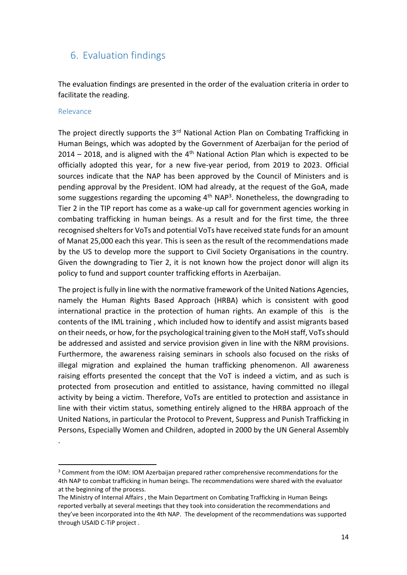## <span id="page-13-0"></span>6. Evaluation findings

The evaluation findings are presented in the order of the evaluation criteria in order to facilitate the reading.

#### <span id="page-13-1"></span>Relevance

.

The project directly supports the 3<sup>rd</sup> National Action Plan on Combating Trafficking in Human Beings, which was adopted by the Government of Azerbaijan for the period of 2014 – 2018, and is aligned with the  $4<sup>th</sup>$  National Action Plan which is expected to be officially adopted this year, for a new five-year period, from 2019 to 2023. Official sources indicate that the NAP has been approved by the Council of Ministers and is pending approval by the President. IOM had already, at the request of the GoA, made some suggestions regarding the upcoming  $4<sup>th</sup>$  NAP<sup>3</sup>. Nonetheless, the downgrading to Tier 2 in the TIP report has come as a wake-up call for government agencies working in combating trafficking in human beings. As a result and for the first time, the three recognised shelters for VoTs and potential VoTs have received state funds for an amount of Manat 25,000 each this year. This is seen as the result of the recommendations made by the US to develop more the support to Civil Society Organisations in the country. Given the downgrading to Tier 2, it is not known how the project donor will align its policy to fund and support counter trafficking efforts in Azerbaijan.

The project is fully in line with the normative framework of the United Nations Agencies, namely the Human Rights Based Approach (HRBA) which is consistent with good international practice in the protection of human rights. An example of this is the contents of the IML training , which included how to identify and assist migrants based on their needs, or how, for the psychological training given to the MoH staff, VoTs should be addressed and assisted and service provision given in line with the NRM provisions. Furthermore, the awareness raising seminars in schools also focused on the risks of illegal migration and explained the human trafficking phenomenon. All awareness raising efforts presented the concept that the VoT is indeed a victim, and as such is protected from prosecution and entitled to assistance, having committed no illegal activity by being a victim. Therefore, VoTs are entitled to protection and assistance in line with their victim status, something entirely aligned to the HRBA approach of the United Nations, in particular the Protocol to Prevent, Suppress and Punish Trafficking in Persons, Especially Women and Children, adopted in 2000 by the UN General Assembly

<sup>&</sup>lt;sup>3</sup> Comment from the IOM: IOM Azerbaijan prepared rather comprehensive recommendations for the 4th NAP to combat trafficking in human beings. The recommendations were shared with the evaluator at the beginning of the process.

The Ministry of Internal Affairs , the Main Department on Combating Trafficking in Human Beings reported verbally at several meetings that they took into consideration the recommendations and they've been incorporated into the 4th NAP. The development of the recommendations was supported through USAID C-TiP project .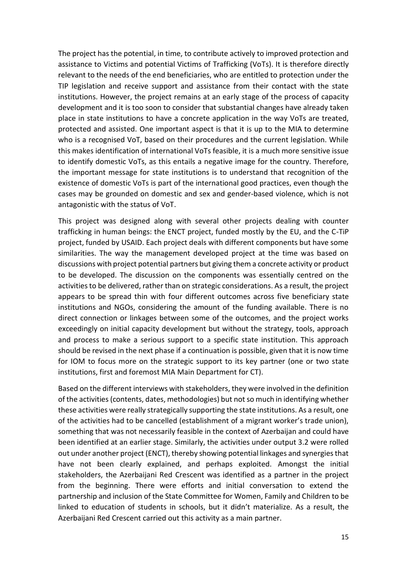The project has the potential, in time, to contribute actively to improved protection and assistance to Victims and potential Victims of Trafficking (VoTs). It is therefore directly relevant to the needs of the end beneficiaries, who are entitled to protection under the TIP legislation and receive support and assistance from their contact with the state institutions. However, the project remains at an early stage of the process of capacity development and it is too soon to consider that substantial changes have already taken place in state institutions to have a concrete application in the way VoTs are treated, protected and assisted. One important aspect is that it is up to the MIA to determine who is a recognised VoT, based on their procedures and the current legislation. While this makes identification of international VoTs feasible, it is a much more sensitive issue to identify domestic VoTs, as this entails a negative image for the country. Therefore, the important message for state institutions is to understand that recognition of the existence of domestic VoTs is part of the international good practices, even though the cases may be grounded on domestic and sex and gender-based violence, which is not antagonistic with the status of VoT.

This project was designed along with several other projects dealing with counter trafficking in human beings: the ENCT project, funded mostly by the EU, and the C-TiP project, funded by USAID. Each project deals with different components but have some similarities. The way the management developed project at the time was based on discussions with project potential partners but giving them a concrete activity or product to be developed. The discussion on the components was essentially centred on the activities to be delivered, rather than on strategic considerations. As a result, the project appears to be spread thin with four different outcomes across five beneficiary state institutions and NGOs, considering the amount of the funding available. There is no direct connection or linkages between some of the outcomes, and the project works exceedingly on initial capacity development but without the strategy, tools, approach and process to make a serious support to a specific state institution. This approach should be revised in the next phase if a continuation is possible, given that it is now time for IOM to focus more on the strategic support to its key partner (one or two state institutions, first and foremost MIA Main Department for CT).

Based on the different interviews with stakeholders, they were involved in the definition of the activities (contents, dates, methodologies) but not so much in identifying whether these activities were really strategically supporting the state institutions. As a result, one of the activities had to be cancelled (establishment of a migrant worker's trade union), something that was not necessarily feasible in the context of Azerbaijan and could have been identified at an earlier stage. Similarly, the activities under output 3.2 were rolled out under another project (ENCT), thereby showing potential linkages and synergies that have not been clearly explained, and perhaps exploited. Amongst the initial stakeholders, the Azerbaijani Red Crescent was identified as a partner in the project from the beginning. There were efforts and initial conversation to extend the partnership and inclusion of the State Committee for Women, Family and Children to be linked to education of students in schools, but it didn't materialize. As a result, the Azerbaijani Red Crescent carried out this activity as a main partner.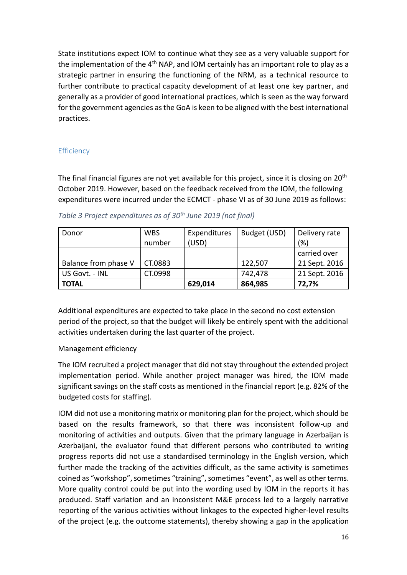State institutions expect IOM to continue what they see as a very valuable support for the implementation of the  $4<sup>th</sup>$  NAP, and IOM certainly has an important role to play as a strategic partner in ensuring the functioning of the NRM, as a technical resource to further contribute to practical capacity development of at least one key partner, and generally as a provider of good international practices, which is seen as the way forward for the government agencies as the GoA is keen to be aligned with the best international practices.

#### <span id="page-15-0"></span>**Efficiency**

The final financial figures are not yet available for this project, since it is closing on 20<sup>th</sup> October 2019. However, based on the feedback received from the IOM, the following expenditures were incurred under the ECMCT - phase VI as of 30 June 2019 as follows:

| Donor                | <b>WBS</b> | Expenditures | Budget (USD) | Delivery rate |
|----------------------|------------|--------------|--------------|---------------|
|                      | number     | (USD)        |              | (%)           |
|                      |            |              |              | carried over  |
| Balance from phase V | CT.0883    |              | 122,507      | 21 Sept. 2016 |
| US Govt. - INL       | CT.0998    |              | 742,478      | 21 Sept. 2016 |
| <b>TOTAL</b>         |            | 629,014      | 864,985      | 72,7%         |

*Table 3 Project expenditures as of 30 th June 2019 (not final)*

Additional expenditures are expected to take place in the second no cost extension period of the project, so that the budget will likely be entirely spent with the additional activities undertaken during the last quarter of the project.

#### Management efficiency

The IOM recruited a project manager that did not stay throughout the extended project implementation period. While another project manager was hired, the IOM made significant savings on the staff costs as mentioned in the financial report (e.g. 82% of the budgeted costs for staffing).

IOM did not use a monitoring matrix or monitoring plan for the project, which should be based on the results framework, so that there was inconsistent follow-up and monitoring of activities and outputs. Given that the primary language in Azerbaijan is Azerbaijani, the evaluator found that different persons who contributed to writing progress reports did not use a standardised terminology in the English version, which further made the tracking of the activities difficult, as the same activity is sometimes coined as "workshop", sometimes "training", sometimes "event", as well as other terms. More quality control could be put into the wording used by IOM in the reports it has produced. Staff variation and an inconsistent M&E process led to a largely narrative reporting of the various activities without linkages to the expected higher-level results of the project (e.g. the outcome statements), thereby showing a gap in the application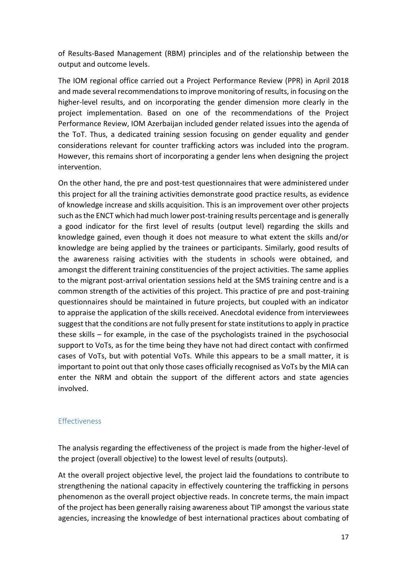of Results-Based Management (RBM) principles and of the relationship between the output and outcome levels.

The IOM regional office carried out a Project Performance Review (PPR) in April 2018 and made several recommendations to improve monitoring of results, in focusing on the higher-level results, and on incorporating the gender dimension more clearly in the project implementation. Based on one of the recommendations of the Project Performance Review, IOM Azerbaijan included gender related issues into the agenda of the ToT. Thus, a dedicated training session focusing on gender equality and gender considerations relevant for counter trafficking actors was included into the program. However, this remains short of incorporating a gender lens when designing the project intervention.

On the other hand, the pre and post-test questionnaires that were administered under this project for all the training activities demonstrate good practice results, as evidence of knowledge increase and skills acquisition. This is an improvement over other projects such as the ENCT which had much lower post-training results percentage and is generally a good indicator for the first level of results (output level) regarding the skills and knowledge gained, even though it does not measure to what extent the skills and/or knowledge are being applied by the trainees or participants. Similarly, good results of the awareness raising activities with the students in schools were obtained, and amongst the different training constituencies of the project activities. The same applies to the migrant post-arrival orientation sessions held at the SMS training centre and is a common strength of the activities of this project. This practice of pre and post-training questionnaires should be maintained in future projects, but coupled with an indicator to appraise the application of the skills received. Anecdotal evidence from interviewees suggest that the conditions are not fully present for state institutions to apply in practice these skills – for example, in the case of the psychologists trained in the psychosocial support to VoTs, as for the time being they have not had direct contact with confirmed cases of VoTs, but with potential VoTs. While this appears to be a small matter, it is important to point out that only those cases officially recognised as VoTs by the MIA can enter the NRM and obtain the support of the different actors and state agencies involved.

#### <span id="page-16-0"></span>Effectiveness

The analysis regarding the effectiveness of the project is made from the higher-level of the project (overall objective) to the lowest level of results (outputs).

At the overall project objective level, the project laid the foundations to contribute to strengthening the national capacity in effectively countering the trafficking in persons phenomenon as the overall project objective reads. In concrete terms, the main impact of the project has been generally raising awareness about TIP amongst the various state agencies, increasing the knowledge of best international practices about combating of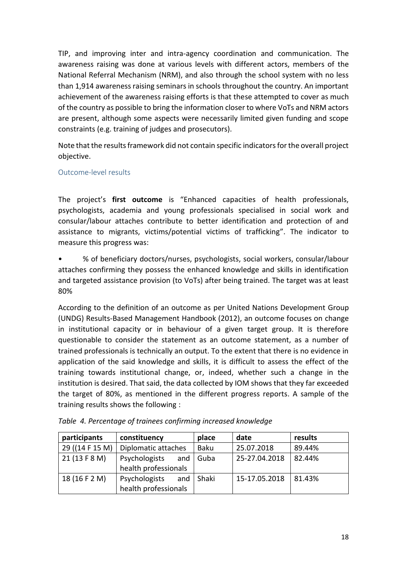TIP, and improving inter and intra-agency coordination and communication. The awareness raising was done at various levels with different actors, members of the National Referral Mechanism (NRM), and also through the school system with no less than 1,914 awareness raising seminars in schools throughout the country. An important achievement of the awareness raising efforts is that these attempted to cover as much of the country as possible to bring the information closer to where VoTs and NRM actors are present, although some aspects were necessarily limited given funding and scope constraints (e.g. training of judges and prosecutors).

Note that the results framework did not contain specific indicators for the overall project objective.

#### <span id="page-17-0"></span>Outcome-level results

The project's **first outcome** is "Enhanced capacities of health professionals, psychologists, academia and young professionals specialised in social work and consular/labour attaches contribute to better identification and protection of and assistance to migrants, victims/potential victims of trafficking". The indicator to measure this progress was:

• % of beneficiary doctors/nurses, psychologists, social workers, consular/labour attaches confirming they possess the enhanced knowledge and skills in identification and targeted assistance provision (to VoTs) after being trained. The target was at least 80%

According to the definition of an outcome as per United Nations Development Group (UNDG) Results-Based Management Handbook (2012), an outcome focuses on change in institutional capacity or in behaviour of a given target group. It is therefore questionable to consider the statement as an outcome statement, as a number of trained professionals is technically an output. To the extent that there is no evidence in application of the said knowledge and skills, it is difficult to assess the effect of the training towards institutional change, or, indeed, whether such a change in the institution is desired. That said, the data collected by IOM shows that they far exceeded the target of 80%, as mentioned in the different progress reports. A sample of the training results shows the following :

| participants    | constituency         | place | date          | results |
|-----------------|----------------------|-------|---------------|---------|
| 29 ((14 F 15 M) | Diplomatic attaches  | Baku  | 25.07.2018    | 89.44%  |
| 21 (13 F 8 M)   | Psychologists<br>and | Guba  | 25-27.04.2018 | 82.44%  |
|                 | health professionals |       |               |         |
| 18 (16 F 2 M)   | Psychologists<br>and | Shaki | 15-17.05.2018 | 81.43%  |
|                 | health professionals |       |               |         |

*Table 4. Percentage of trainees confirming increased knowledge*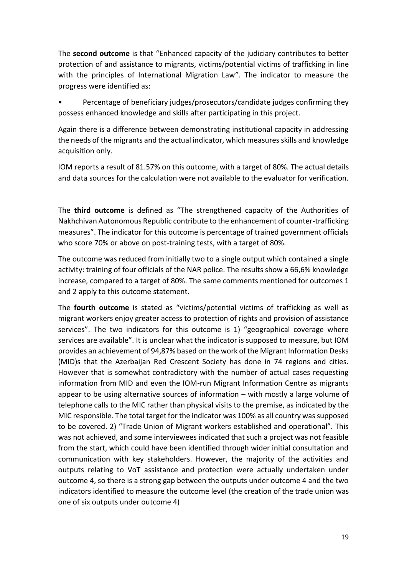The **second outcome** is that "Enhanced capacity of the judiciary contributes to better protection of and assistance to migrants, victims/potential victims of trafficking in line with the principles of International Migration Law". The indicator to measure the progress were identified as:

• Percentage of beneficiary judges/prosecutors/candidate judges confirming they possess enhanced knowledge and skills after participating in this project.

Again there is a difference between demonstrating institutional capacity in addressing the needs of the migrants and the actual indicator, which measures skills and knowledge acquisition only.

IOM reports a result of 81.57% on this outcome, with a target of 80%. The actual details and data sources for the calculation were not available to the evaluator for verification.

The **third outcome** is defined as "The strengthened capacity of the Authorities of Nakhchivan Autonomous Republic contribute to the enhancement of counter-trafficking measures". The indicator for this outcome is percentage of trained government officials who score 70% or above on post-training tests, with a target of 80%.

The outcome was reduced from initially two to a single output which contained a single activity: training of four officials of the NAR police. The results show a 66,6% knowledge increase, compared to a target of 80%. The same comments mentioned for outcomes 1 and 2 apply to this outcome statement.

The **fourth outcome** is stated as "victims/potential victims of trafficking as well as migrant workers enjoy greater access to protection of rights and provision of assistance services". The two indicators for this outcome is 1) "geographical coverage where services are available". It is unclear what the indicator is supposed to measure, but IOM provides an achievement of 94,87% based on the work of the Migrant Information Desks (MID)s that the Azerbaijan Red Crescent Society has done in 74 regions and cities. However that is somewhat contradictory with the number of actual cases requesting information from MID and even the IOM-run Migrant Information Centre as migrants appear to be using alternative sources of information – with mostly a large volume of telephone calls to the MIC rather than physical visits to the premise, as indicated by the MIC responsible. The total target for the indicator was 100% as all country was supposed to be covered. 2) "Trade Union of Migrant workers established and operational". This was not achieved, and some interviewees indicated that such a project was not feasible from the start, which could have been identified through wider initial consultation and communication with key stakeholders. However, the majority of the activities and outputs relating to VoT assistance and protection were actually undertaken under outcome 4, so there is a strong gap between the outputs under outcome 4 and the two indicators identified to measure the outcome level (the creation of the trade union was one of six outputs under outcome 4)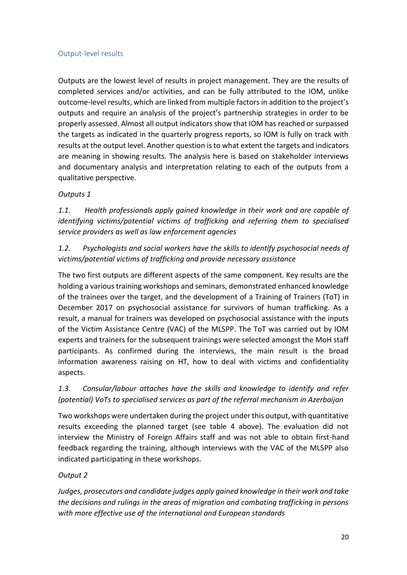#### <span id="page-19-0"></span>Output-level results

Outputs are the lowest level of results in project management. They are the results of completed services and/or activities, and can be fully attributed to the IOM, unlike outcome-level results, which are linked from multiple factors in addition to the project's outputs and require an analysis of the project's partnership strategies in order to be properly assessed. Almost all output indicators show that IOM has reached or surpassed the targets as indicated in the quarterly progress reports, so IOM is fully on track with results at the output level. Another question is to what extent the targets and indicators are meaning in showing results. The analysis here is based on stakeholder interviews and documentary analysis and interpretation relating to each of the outputs from a qualitative perspective.

#### *Outputs 1*

*1.1. Health professionals apply gained knowledge in their work and are capable of identifying victims/potential victims of trafficking and referring them to specialised service providers as well as law enforcement agencies*

*1.2. Psychologists and social workers have the skills to identify psychosocial needs of victims/potential victims of trafficking and provide necessary assistance*

The two first outputs are different aspects of the same component. Key results are the holding a various training workshops and seminars, demonstrated enhanced knowledge of the trainees over the target, and the development of a Training of Trainers (ToT) in December 2017 on psychosocial assistance for survivors of human trafficking. As a result, a manual for trainers was developed on psychosocial assistance with the inputs of the Victim Assistance Centre (VAC) of the MLSPP. The ToT was carried out by IOM experts and trainers for the subsequent trainings were selected amongst the MoH staff participants. As confirmed during the interviews, the main result is the broad information awareness raising on HT, how to deal with victims and confidentiality aspects.

*1.3. Consular/labour attaches have the skills and knowledge to identify and refer (potential) VoTs to specialised services as part of the referral mechanism in Azerbaijan*

Two workshops were undertaken during the project under this output, with quantitative results exceeding the planned target (see table 4 above). The evaluation did not interview the Ministry of Foreign Affairs staff and was not able to obtain first-hand feedback regarding the training, although interviews with the VAC of the MLSPP also indicated participating in these workshops.

#### *Output 2*

*Judges, prosecutors and candidate judges apply gained knowledge in their work and take the decisions and rulings in the areas of migration and combating trafficking in persons with more effective use of the international and European standards*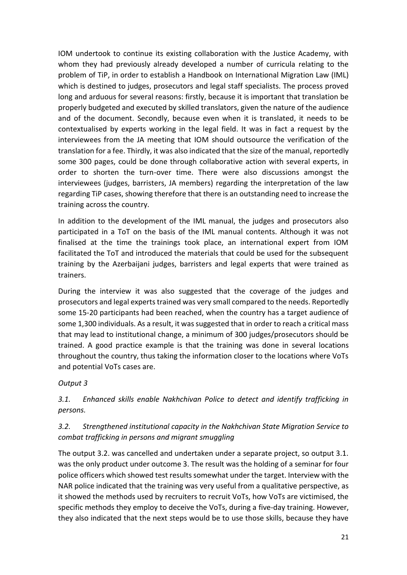IOM undertook to continue its existing collaboration with the Justice Academy, with whom they had previously already developed a number of curricula relating to the problem of TiP, in order to establish a Handbook on International Migration Law (IML) which is destined to judges, prosecutors and legal staff specialists. The process proved long and arduous for several reasons: firstly, because it is important that translation be properly budgeted and executed by skilled translators, given the nature of the audience and of the document. Secondly, because even when it is translated, it needs to be contextualised by experts working in the legal field. It was in fact a request by the interviewees from the JA meeting that IOM should outsource the verification of the translation for a fee. Thirdly, it was also indicated that the size of the manual, reportedly some 300 pages, could be done through collaborative action with several experts, in order to shorten the turn-over time. There were also discussions amongst the interviewees (judges, barristers, JA members) regarding the interpretation of the law regarding TiP cases, showing therefore that there is an outstanding need to increase the training across the country.

In addition to the development of the IML manual, the judges and prosecutors also participated in a ToT on the basis of the IML manual contents. Although it was not finalised at the time the trainings took place, an international expert from IOM facilitated the ToT and introduced the materials that could be used for the subsequent training by the Azerbaijani judges, barristers and legal experts that were trained as trainers.

During the interview it was also suggested that the coverage of the judges and prosecutors and legal experts trained was very small compared to the needs. Reportedly some 15-20 participants had been reached, when the country has a target audience of some 1,300 individuals. As a result, it was suggested that in order to reach a critical mass that may lead to institutional change, a minimum of 300 judges/prosecutors should be trained. A good practice example is that the training was done in several locations throughout the country, thus taking the information closer to the locations where VoTs and potential VoTs cases are.

#### *Output 3*

## *3.1. Enhanced skills enable Nakhchivan Police to detect and identify trafficking in persons.*

### *3.2. Strengthened institutional capacity in the Nakhchivan State Migration Service to combat trafficking in persons and migrant smuggling*

The output 3.2. was cancelled and undertaken under a separate project, so output 3.1. was the only product under outcome 3. The result was the holding of a seminar for four police officers which showed test results somewhat under the target. Interview with the NAR police indicated that the training was very useful from a qualitative perspective, as it showed the methods used by recruiters to recruit VoTs, how VoTs are victimised, the specific methods they employ to deceive the VoTs, during a five-day training. However, they also indicated that the next steps would be to use those skills, because they have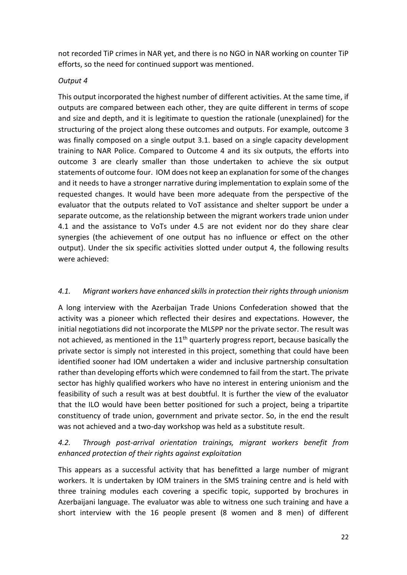not recorded TiP crimes in NAR yet, and there is no NGO in NAR working on counter TiP efforts, so the need for continued support was mentioned.

#### *Output 4*

This output incorporated the highest number of different activities. At the same time, if outputs are compared between each other, they are quite different in terms of scope and size and depth, and it is legitimate to question the rationale (unexplained) for the structuring of the project along these outcomes and outputs. For example, outcome 3 was finally composed on a single output 3.1. based on a single capacity development training to NAR Police. Compared to Outcome 4 and its six outputs, the efforts into outcome 3 are clearly smaller than those undertaken to achieve the six output statements of outcome four. IOM does not keep an explanation for some of the changes and it needs to have a stronger narrative during implementation to explain some of the requested changes. It would have been more adequate from the perspective of the evaluator that the outputs related to VoT assistance and shelter support be under a separate outcome, as the relationship between the migrant workers trade union under 4.1 and the assistance to VoTs under 4.5 are not evident nor do they share clear synergies (the achievement of one output has no influence or effect on the other output). Under the six specific activities slotted under output 4, the following results were achieved:

### *4.1. Migrant workers have enhanced skills in protection their rights through unionism*

A long interview with the Azerbaijan Trade Unions Confederation showed that the activity was a pioneer which reflected their desires and expectations. However, the initial negotiations did not incorporate the MLSPP nor the private sector. The result was not achieved, as mentioned in the  $11<sup>th</sup>$  quarterly progress report, because basically the private sector is simply not interested in this project, something that could have been identified sooner had IOM undertaken a wider and inclusive partnership consultation rather than developing efforts which were condemned to fail from the start. The private sector has highly qualified workers who have no interest in entering unionism and the feasibility of such a result was at best doubtful. It is further the view of the evaluator that the ILO would have been better positioned for such a project, being a tripartite constituency of trade union, government and private sector. So, in the end the result was not achieved and a two-day workshop was held as a substitute result.

## *4.2. Through post-arrival orientation trainings, migrant workers benefit from enhanced protection of their rights against exploitation*

This appears as a successful activity that has benefitted a large number of migrant workers. It is undertaken by IOM trainers in the SMS training centre and is held with three training modules each covering a specific topic, supported by brochures in Azerbaijani language. The evaluator was able to witness one such training and have a short interview with the 16 people present (8 women and 8 men) of different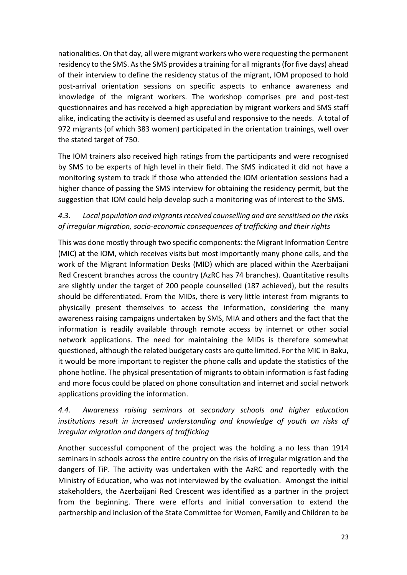nationalities. On that day, all were migrant workers who were requesting the permanent residency to the SMS. As the SMS provides a training for all migrants (for five days) ahead of their interview to define the residency status of the migrant, IOM proposed to hold post-arrival orientation sessions on specific aspects to enhance awareness and knowledge of the migrant workers. The workshop comprises pre and post-test questionnaires and has received a high appreciation by migrant workers and SMS staff alike, indicating the activity is deemed as useful and responsive to the needs. A total of 972 migrants (of which 383 women) participated in the orientation trainings, well over the stated target of 750.

The IOM trainers also received high ratings from the participants and were recognised by SMS to be experts of high level in their field. The SMS indicated it did not have a monitoring system to track if those who attended the IOM orientation sessions had a higher chance of passing the SMS interview for obtaining the residency permit, but the suggestion that IOM could help develop such a monitoring was of interest to the SMS.

## *4.3. Local population and migrants received counselling and are sensitised on the risks of irregular migration, socio-economic consequences of trafficking and their rights*

This was done mostly through two specific components: the Migrant Information Centre (MIC) at the IOM, which receives visits but most importantly many phone calls, and the work of the Migrant Information Desks (MID) which are placed within the Azerbaijani Red Crescent branches across the country (AzRC has 74 branches). Quantitative results are slightly under the target of 200 people counselled (187 achieved), but the results should be differentiated. From the MIDs, there is very little interest from migrants to physically present themselves to access the information, considering the many awareness raising campaigns undertaken by SMS, MIA and others and the fact that the information is readily available through remote access by internet or other social network applications. The need for maintaining the MIDs is therefore somewhat questioned, although the related budgetary costs are quite limited. For the MIC in Baku, it would be more important to register the phone calls and update the statistics of the phone hotline. The physical presentation of migrants to obtain information is fast fading and more focus could be placed on phone consultation and internet and social network applications providing the information.

## *4.4. Awareness raising seminars at secondary schools and higher education institutions result in increased understanding and knowledge of youth on risks of irregular migration and dangers of trafficking*

Another successful component of the project was the holding a no less than 1914 seminars in schools across the entire country on the risks of irregular migration and the dangers of TiP. The activity was undertaken with the AzRC and reportedly with the Ministry of Education, who was not interviewed by the evaluation. Amongst the initial stakeholders, the Azerbaijani Red Crescent was identified as a partner in the project from the beginning. There were efforts and initial conversation to extend the partnership and inclusion of the State Committee for Women, Family and Children to be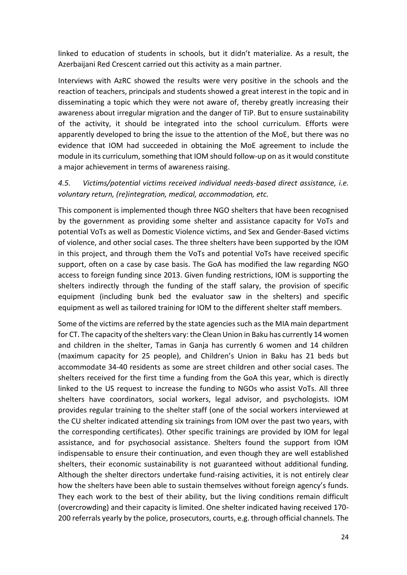linked to education of students in schools, but it didn't materialize. As a result, the Azerbaijani Red Crescent carried out this activity as a main partner.

Interviews with AzRC showed the results were very positive in the schools and the reaction of teachers, principals and students showed a great interest in the topic and in disseminating a topic which they were not aware of, thereby greatly increasing their awareness about irregular migration and the danger of TiP. But to ensure sustainability of the activity, it should be integrated into the school curriculum. Efforts were apparently developed to bring the issue to the attention of the MoE, but there was no evidence that IOM had succeeded in obtaining the MoE agreement to include the module in its curriculum, something that IOM should follow-up on as it would constitute a major achievement in terms of awareness raising.

*4.5. Victims/potential victims received individual needs-based direct assistance, i.e. voluntary return, (re)integration, medical, accommodation, etc.*

This component is implemented though three NGO shelters that have been recognised by the government as providing some shelter and assistance capacity for VoTs and potential VoTs as well as Domestic Violence victims, and Sex and Gender-Based victims of violence, and other social cases. The three shelters have been supported by the IOM in this project, and through them the VoTs and potential VoTs have received specific support, often on a case by case basis. The GoA has modified the law regarding NGO access to foreign funding since 2013. Given funding restrictions, IOM is supporting the shelters indirectly through the funding of the staff salary, the provision of specific equipment (including bunk bed the evaluator saw in the shelters) and specific equipment as well as tailored training for IOM to the different shelter staff members.

Some of the victims are referred by the state agencies such as the MIA main department for CT. The capacity of the shelters vary: the Clean Union in Baku has currently 14 women and children in the shelter, Tamas in Ganja has currently 6 women and 14 children (maximum capacity for 25 people), and Children's Union in Baku has 21 beds but accommodate 34-40 residents as some are street children and other social cases. The shelters received for the first time a funding from the GoA this year, which is directly linked to the US request to increase the funding to NGOs who assist VoTs. All three shelters have coordinators, social workers, legal advisor, and psychologists. IOM provides regular training to the shelter staff (one of the social workers interviewed at the CU shelter indicated attending six trainings from IOM over the past two years, with the corresponding certificates). Other specific trainings are provided by IOM for legal assistance, and for psychosocial assistance. Shelters found the support from IOM indispensable to ensure their continuation, and even though they are well established shelters, their economic sustainability is not guaranteed without additional funding. Although the shelter directors undertake fund-raising activities, it is not entirely clear how the shelters have been able to sustain themselves without foreign agency's funds. They each work to the best of their ability, but the living conditions remain difficult (overcrowding) and their capacity is limited. One shelter indicated having received 170- 200 referrals yearly by the police, prosecutors, courts, e.g. through official channels. The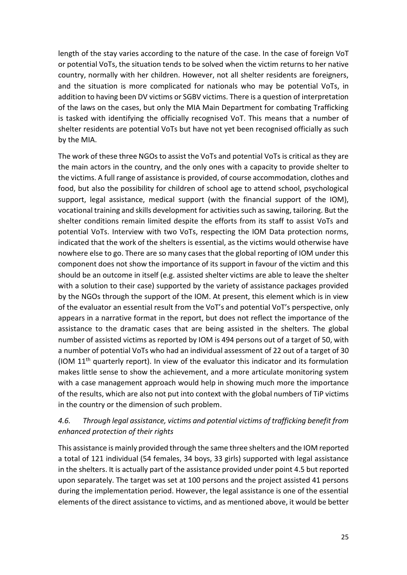length of the stay varies according to the nature of the case. In the case of foreign VoT or potential VoTs, the situation tends to be solved when the victim returns to her native country, normally with her children. However, not all shelter residents are foreigners, and the situation is more complicated for nationals who may be potential VoTs, in addition to having been DV victims or SGBV victims. There is a question of interpretation of the laws on the cases, but only the MIA Main Department for combating Trafficking is tasked with identifying the officially recognised VoT. This means that a number of shelter residents are potential VoTs but have not yet been recognised officially as such by the MIA.

The work of these three NGOs to assist the VoTs and potential VoTs is critical as they are the main actors in the country, and the only ones with a capacity to provide shelter to the victims. A full range of assistance is provided, of course accommodation, clothes and food, but also the possibility for children of school age to attend school, psychological support, legal assistance, medical support (with the financial support of the IOM), vocational training and skills development for activities such as sawing, tailoring. But the shelter conditions remain limited despite the efforts from its staff to assist VoTs and potential VoTs. Interview with two VoTs, respecting the IOM Data protection norms, indicated that the work of the shelters is essential, as the victims would otherwise have nowhere else to go. There are so many cases that the global reporting of IOM under this component does not show the importance of its support in favour of the victim and this should be an outcome in itself (e.g. assisted shelter victims are able to leave the shelter with a solution to their case) supported by the variety of assistance packages provided by the NGOs through the support of the IOM. At present, this element which is in view of the evaluator an essential result from the VoT's and potential VoT's perspective, only appears in a narrative format in the report, but does not reflect the importance of the assistance to the dramatic cases that are being assisted in the shelters. The global number of assisted victims as reported by IOM is 494 persons out of a target of 50, with a number of potential VoTs who had an individual assessment of 22 out of a target of 30 (IOM 11th quarterly report). In view of the evaluator this indicator and its formulation makes little sense to show the achievement, and a more articulate monitoring system with a case management approach would help in showing much more the importance of the results, which are also not put into context with the global numbers of TiP victims in the country or the dimension of such problem.

## *4.6. Through legal assistance, victims and potential victims of trafficking benefit from enhanced protection of their rights*

This assistance is mainly provided through the same three shelters and the IOM reported a total of 121 individual (54 females, 34 boys, 33 girls) supported with legal assistance in the shelters. It is actually part of the assistance provided under point 4.5 but reported upon separately. The target was set at 100 persons and the project assisted 41 persons during the implementation period. However, the legal assistance is one of the essential elements of the direct assistance to victims, and as mentioned above, it would be better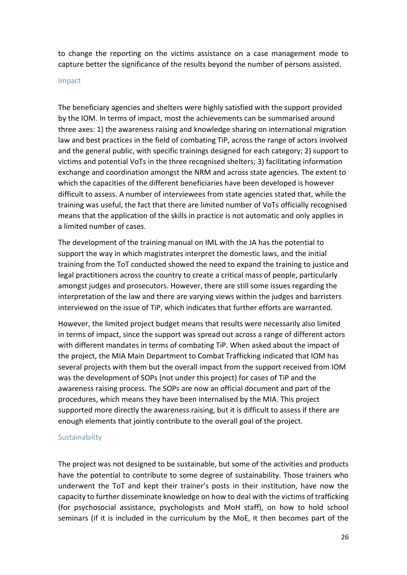to change the reporting on the victims assistance on a case management mode to capture better the significance of the results beyond the number of persons assisted.

#### <span id="page-25-0"></span>Impact

The beneficiary agencies and shelters were highly satisfied with the support provided by the IOM. In terms of impact, most the achievements can be summarised around three axes: 1) the awareness raising and knowledge sharing on international migration law and best practices in the field of combating TiP, across the range of actors involved and the general public, with specific trainings designed for each category; 2) support to victims and potential VoTs in the three recognised shelters; 3) facilitating information exchange and coordination amongst the NRM and across state agencies. The extent to which the capacities of the different beneficiaries have been developed is however difficult to assess. A number of interviewees from state agencies stated that, while the training was useful, the fact that there are limited number of VoTs officially recognised means that the application of the skills in practice is not automatic and only applies in a limited number of cases.

The development of the training manual on IML with the JA has the potential to support the way in which magistrates interpret the domestic laws, and the initial training from the ToT conducted showed the need to expand the training to justice and legal practitioners across the country to create a critical mass of people, particularly amongst judges and prosecutors. However, there are still some issues regarding the interpretation of the law and there are varying views within the judges and barristers interviewed on the issue of TiP, which indicates that further efforts are warranted.

However, the limited project budget means that results were necessarily also limited in terms of impact, since the support was spread out across a range of different actors with different mandates in terms of combating TiP. When asked about the impact of the project, the MIA Main Department to Combat Trafficking indicated that IOM has several projects with them but the overall impact from the support received from IOM was the development of SOPs (not under this project) for cases of TiP and the awareness raising process. The SOPs are now an official document and part of the procedures, which means they have been internalised by the MIA. This project supported more directly the awareness raising, but it is difficult to assess if there are enough elements that jointly contribute to the overall goal of the project.

#### <span id="page-25-1"></span>Sustainability

The project was not designed to be sustainable, but some of the activities and products have the potential to contribute to some degree of sustainability. Those trainers who underwent the ToT and kept their trainer's posts in their institution, have now the capacity to further disseminate knowledge on how to deal with the victims of trafficking (for psychosocial assistance, psychologists and MoH staff), on how to hold school seminars (if it is included in the curriculum by the MoE, it then becomes part of the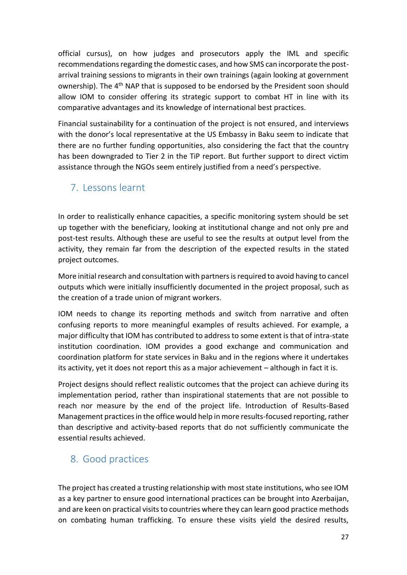official cursus), on how judges and prosecutors apply the IML and specific recommendations regarding the domestic cases, and how SMS can incorporate the postarrival training sessions to migrants in their own trainings (again looking at government ownership). The 4<sup>th</sup> NAP that is supposed to be endorsed by the President soon should allow IOM to consider offering its strategic support to combat HT in line with its comparative advantages and its knowledge of international best practices.

Financial sustainability for a continuation of the project is not ensured, and interviews with the donor's local representative at the US Embassy in Baku seem to indicate that there are no further funding opportunities, also considering the fact that the country has been downgraded to Tier 2 in the TiP report. But further support to direct victim assistance through the NGOs seem entirely justified from a need's perspective.

# <span id="page-26-0"></span>7. Lessons learnt

In order to realistically enhance capacities, a specific monitoring system should be set up together with the beneficiary, looking at institutional change and not only pre and post-test results. Although these are useful to see the results at output level from the activity, they remain far from the description of the expected results in the stated project outcomes.

More initial research and consultation with partners is required to avoid having to cancel outputs which were initially insufficiently documented in the project proposal, such as the creation of a trade union of migrant workers.

IOM needs to change its reporting methods and switch from narrative and often confusing reports to more meaningful examples of results achieved. For example, a major difficulty that IOM has contributed to address to some extent is that of intra-state institution coordination. IOM provides a good exchange and communication and coordination platform for state services in Baku and in the regions where it undertakes its activity, yet it does not report this as a major achievement – although in fact it is.

Project designs should reflect realistic outcomes that the project can achieve during its implementation period, rather than inspirational statements that are not possible to reach nor measure by the end of the project life. Introduction of Results-Based Management practices in the office would help in more results-focused reporting, rather than descriptive and activity-based reports that do not sufficiently communicate the essential results achieved.

# <span id="page-26-1"></span>8. Good practices

The project has created a trusting relationship with most state institutions, who see IOM as a key partner to ensure good international practices can be brought into Azerbaijan, and are keen on practical visits to countries where they can learn good practice methods on combating human trafficking. To ensure these visits yield the desired results,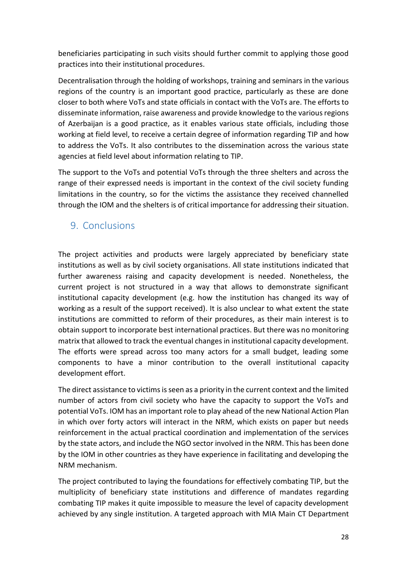beneficiaries participating in such visits should further commit to applying those good practices into their institutional procedures.

Decentralisation through the holding of workshops, training and seminars in the various regions of the country is an important good practice, particularly as these are done closer to both where VoTs and state officials in contact with the VoTs are. The efforts to disseminate information, raise awareness and provide knowledge to the various regions of Azerbaijan is a good practice, as it enables various state officials, including those working at field level, to receive a certain degree of information regarding TIP and how to address the VoTs. It also contributes to the dissemination across the various state agencies at field level about information relating to TIP.

The support to the VoTs and potential VoTs through the three shelters and across the range of their expressed needs is important in the context of the civil society funding limitations in the country, so for the victims the assistance they received channelled through the IOM and the shelters is of critical importance for addressing their situation.

# <span id="page-27-0"></span>9. Conclusions

The project activities and products were largely appreciated by beneficiary state institutions as well as by civil society organisations. All state institutions indicated that further awareness raising and capacity development is needed. Nonetheless, the current project is not structured in a way that allows to demonstrate significant institutional capacity development (e.g. how the institution has changed its way of working as a result of the support received). It is also unclear to what extent the state institutions are committed to reform of their procedures, as their main interest is to obtain support to incorporate best international practices. But there was no monitoring matrix that allowed to track the eventual changes in institutional capacity development. The efforts were spread across too many actors for a small budget, leading some components to have a minor contribution to the overall institutional capacity development effort.

The direct assistance to victims is seen as a priority in the current context and the limited number of actors from civil society who have the capacity to support the VoTs and potential VoTs. IOM has an important role to play ahead of the new National Action Plan in which over forty actors will interact in the NRM, which exists on paper but needs reinforcement in the actual practical coordination and implementation of the services by the state actors, and include the NGO sector involved in the NRM. This has been done by the IOM in other countries as they have experience in facilitating and developing the NRM mechanism.

The project contributed to laying the foundations for effectively combating TIP, but the multiplicity of beneficiary state institutions and difference of mandates regarding combating TIP makes it quite impossible to measure the level of capacity development achieved by any single institution. A targeted approach with MIA Main CT Department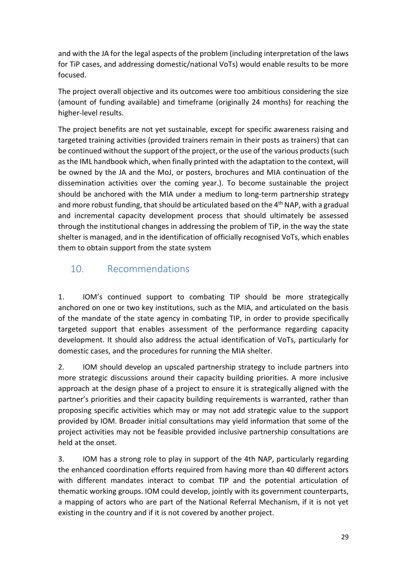and with the JA for the legal aspects of the problem (including interpretation of the laws for TiP cases, and addressing domestic/national VoTs) would enable results to be more focused.

The project overall objective and its outcomes were too ambitious considering the size (amount of funding available) and timeframe (originally 24 months) for reaching the higher-level results.

The project benefits are not yet sustainable, except for specific awareness raising and targeted training activities (provided trainers remain in their posts as trainers) that can be continued without the support of the project, or the use of the various products (such as the IML handbook which, when finally printed with the adaptation to the context, will be owned by the JA and the MoJ, or posters, brochures and MIA continuation of the dissemination activities over the coming year.). To become sustainable the project should be anchored with the MIA under a medium to long-term partnership strategy and more robust funding, that should be articulated based on the 4<sup>th</sup> NAP, with a gradual and incremental capacity development process that should ultimately be assessed through the institutional changes in addressing the problem of TiP, in the way the state shelter is managed, and in the identification of officially recognised VoTs, which enables them to obtain support from the state system

# 10. Recommendations

1. IOM's continued support to combating TIP should be more strategically anchored on one or two key institutions, such as the MIA, and articulated on the basis of the mandate of the state agency in combating TIP, in order to provide specifically targeted support that enables assessment of the performance regarding capacity development. It should also address the actual identification of VoTs, particularly for domestic cases, and the procedures for running the MIA shelter.

2. IOM should develop an upscaled partnership strategy to include partners into more strategic discussions around their capacity building priorities. A more inclusive approach at the design phase of a project to ensure it is strategically aligned with the partner's priorities and their capacity building requirements is warranted, rather than proposing specific activities which may or may not add strategic value to the support provided by IOM. Broader initial consultations may yield information that some of the project activities may not be feasible provided inclusive partnership consultations are held at the onset.

3. IOM has a strong role to play in support of the 4th NAP, particularly regarding the enhanced coordination efforts required from having more than 40 different actors with different mandates interact to combat TIP and the potential articulation of thematic working groups. IOM could develop, jointly with its government counterparts, a mapping of actors who are part of the National Referral Mechanism, if it is not yet existing in the country and if it is not covered by another project.